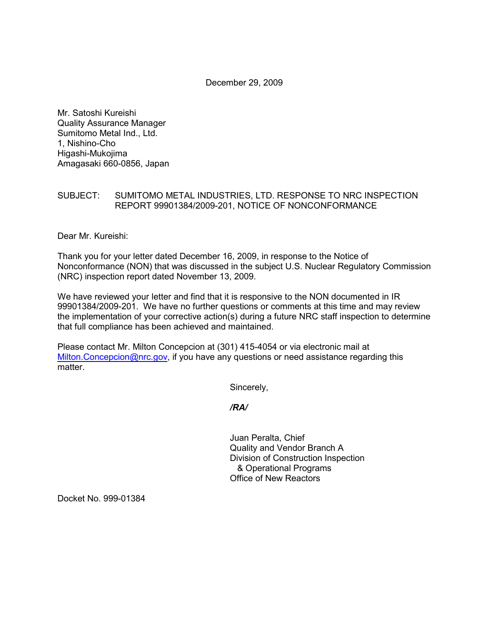December 29, 2009

Mr. Satoshi Kureishi Quality Assurance Manager Sumitomo Metal Ind., Ltd. 1, Nishino-Cho Higashi-Mukojima Amagasaki 660-0856, Japan

## SUBJECT: SUMITOMO METAL INDUSTRIES, LTD. RESPONSE TO NRC INSPECTION REPORT 99901384/2009-201, NOTICE OF NONCONFORMANCE

Dear Mr. Kureishi:

Thank you for your letter dated December 16, 2009, in response to the Notice of Nonconformance (NON) that was discussed in the subject U.S. Nuclear Regulatory Commission (NRC) inspection report dated November 13, 2009.

We have reviewed your letter and find that it is responsive to the NON documented in IR 99901384/2009-201. We have no further questions or comments at this time and may review the implementation of your corrective action(s) during a future NRC staff inspection to determine that full compliance has been achieved and maintained.

Please contact Mr. Milton Concepcion at (301) 415-4054 or via electronic mail at Milton.Concepcion@nrc.gov, if you have any questions or need assistance regarding this matter.

Sincerely,

*/RA/* 

Juan Peralta, Chief Quality and Vendor Branch A Division of Construction Inspection & Operational Programs Office of New Reactors

Docket No. 999-01384